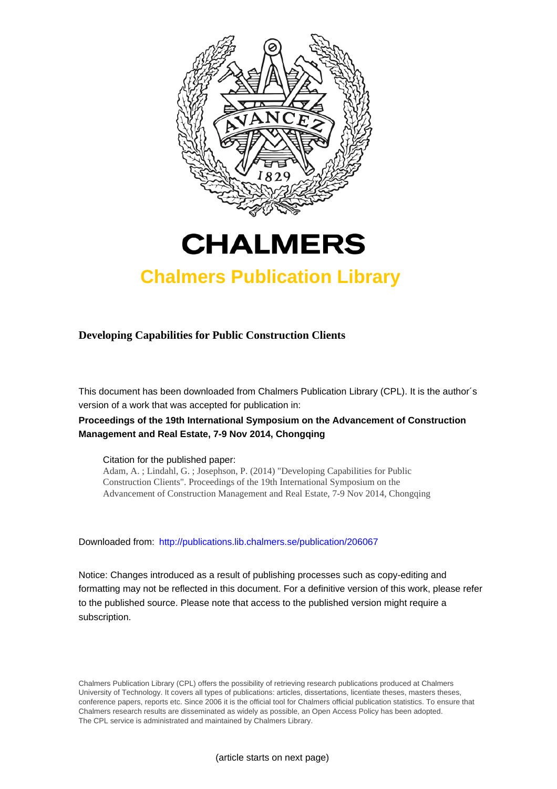



# **Chalmers Publication Library**

**Developing Capabilities for Public Construction Clients**

This document has been downloaded from Chalmers Publication Library (CPL). It is the author´s version of a work that was accepted for publication in:

**Proceedings of the 19th International Symposium on the Advancement of Construction Management and Real Estate, 7-9 Nov 2014, Chongqing**

Citation for the published paper:

Adam, A. ; Lindahl, G. ; Josephson, P. (2014) "Developing Capabilities for Public Construction Clients". Proceedings of the 19th International Symposium on the Advancement of Construction Management and Real Estate, 7-9 Nov 2014, Chongqing

Downloaded from: <http://publications.lib.chalmers.se/publication/206067>

Notice: Changes introduced as a result of publishing processes such as copy-editing and formatting may not be reflected in this document. For a definitive version of this work, please refer to the published source. Please note that access to the published version might require a subscription.

Chalmers Publication Library (CPL) offers the possibility of retrieving research publications produced at Chalmers University of Technology. It covers all types of publications: articles, dissertations, licentiate theses, masters theses, conference papers, reports etc. Since 2006 it is the official tool for Chalmers official publication statistics. To ensure that Chalmers research results are disseminated as widely as possible, an Open Access Policy has been adopted. The CPL service is administrated and maintained by Chalmers Library.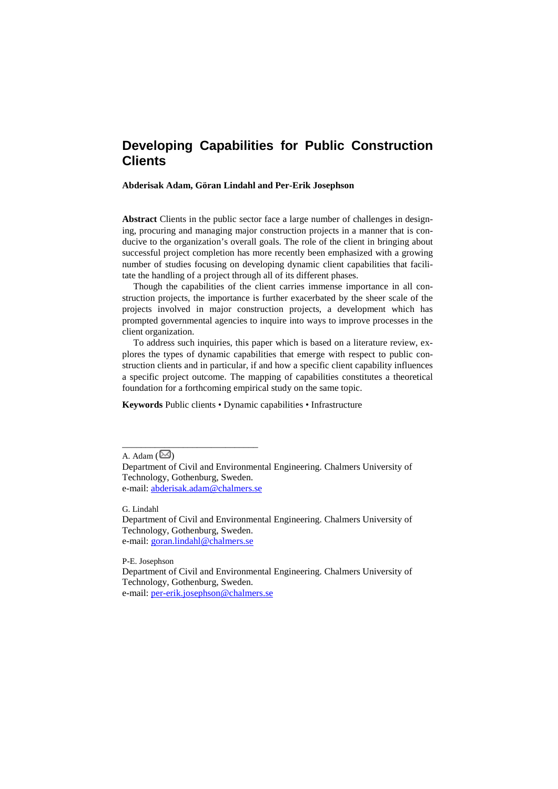# **Developing Capabilities for Public Construction Clients**

**Abderisak Adam, Göran Lindahl and Per-Erik Josephson**

**Abstract** Clients in the public sector face a large number of challenges in designing, procuring and managing major construction projects in a manner that is conducive to the organization's overall goals. The role of the client in bringing about successful project completion has more recently been emphasized with a growing number of studies focusing on developing dynamic client capabilities that facilitate the handling of a project through all of its different phases.

Though the capabilities of the client carries immense importance in all construction projects, the importance is further exacerbated by the sheer scale of the projects involved in major construction projects, a development which has prompted governmental agencies to inquire into ways to improve processes in the client organization.

To address such inquiries, this paper which is based on a literature review, explores the types of dynamic capabilities that emerge with respect to public construction clients and in particular, if and how a specific client capability influences a specific project outcome. The mapping of capabilities constitutes a theoretical foundation for a forthcoming empirical study on the same topic.

**Keywords** Public clients • Dynamic capabilities • Infrastructure

A. Adam  $(\boxtimes)$ 

\_\_\_\_\_\_\_\_\_\_\_\_\_\_\_\_\_\_\_\_\_\_\_\_\_\_\_\_\_

Department of Civil and Environmental Engineering. Chalmers University of Technology, Gothenburg, Sweden. e-mail: [abderisak.adam@chalmers.se](mailto:abderisak.adam@chalmers.se)

G. Lindahl

Department of Civil and Environmental Engineering. Chalmers University of Technology, Gothenburg, Sweden. e-mail: [goran.lindahl@chalmers.se](mailto:goran.lindahl@chalmers.se)

P-E. Josephson

Department of Civil and Environmental Engineering. Chalmers University of Technology, Gothenburg, Sweden. e-mail: [per-erik.josephson@chalmers.se](mailto:per-erik.josephson@chalmers.se)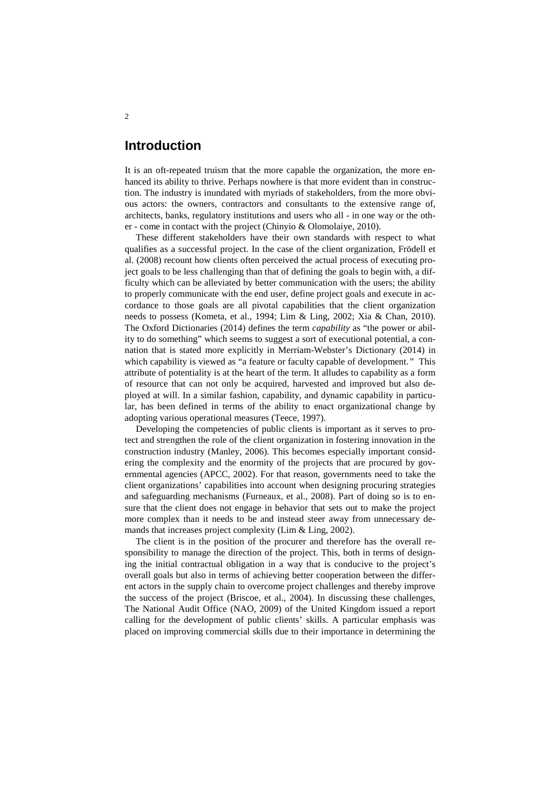## **Introduction**

It is an oft-repeated truism that the more capable the organization, the more enhanced its ability to thrive. Perhaps nowhere is that more evident than in construction. The industry is inundated with myriads of stakeholders, from the more obvious actors: the owners, contractors and consultants to the extensive range of, architects, banks, regulatory institutions and users who all - in one way or the other - come in contact with the project (Chinyio & Olomolaiye, 2010).

These different stakeholders have their own standards with respect to what qualifies as a successful project. In the case of the client organization, Frödell et al. (2008) recount how clients often perceived the actual process of executing project goals to be less challenging than that of defining the goals to begin with, a difficulty which can be alleviated by better communication with the users; the ability to properly communicate with the end user, define project goals and execute in accordance to those goals are all pivotal capabilities that the client organization needs to possess (Kometa, et al., 1994; Lim & Ling, 2002; Xia & Chan, 2010). The Oxford Dictionaries (2014) defines the term *capability* as "the power or ability to do something" which seems to suggest a sort of executional potential, a connation that is stated more explicitly in Merriam-Webster's Dictionary (2014) in which capability is viewed as "a feature or faculty capable of development.*"* This attribute of potentiality is at the heart of the term. It alludes to capability as a form of resource that can not only be acquired, harvested and improved but also deployed at will. In a similar fashion, capability, and dynamic capability in particular, has been defined in terms of the ability to enact organizational change by adopting various operational measures (Teece, 1997).

Developing the competencies of public clients is important as it serves to protect and strengthen the role of the client organization in fostering innovation in the construction industry (Manley, 2006). This becomes especially important considering the complexity and the enormity of the projects that are procured by governmental agencies (APCC, 2002). For that reason, governments need to take the client organizations' capabilities into account when designing procuring strategies and safeguarding mechanisms (Furneaux, et al., 2008). Part of doing so is to ensure that the client does not engage in behavior that sets out to make the project more complex than it needs to be and instead steer away from unnecessary demands that increases project complexity (Lim & Ling, 2002).

The client is in the position of the procurer and therefore has the overall responsibility to manage the direction of the project. This, both in terms of designing the initial contractual obligation in a way that is conducive to the project's overall goals but also in terms of achieving better cooperation between the different actors in the supply chain to overcome project challenges and thereby improve the success of the project (Briscoe, et al., 2004). In discussing these challenges, The National Audit Office (NAO, 2009) of the United Kingdom issued a report calling for the development of public clients' skills. A particular emphasis was placed on improving commercial skills due to their importance in determining the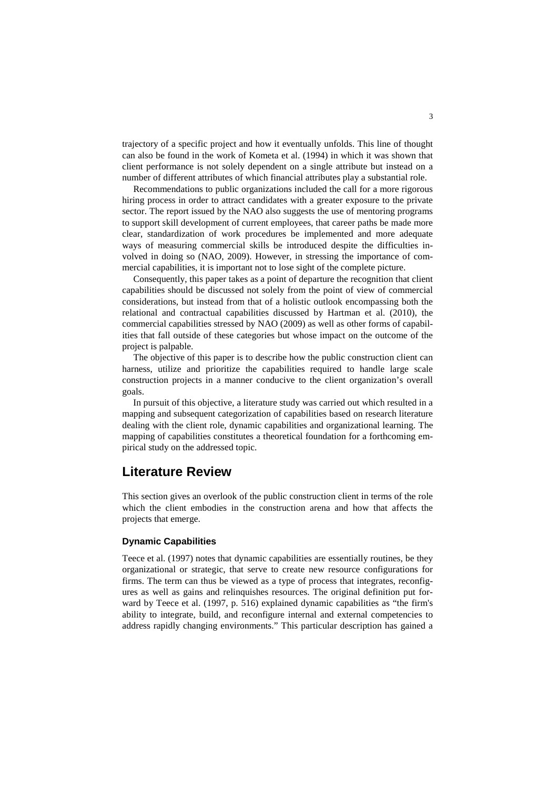trajectory of a specific project and how it eventually unfolds. This line of thought can also be found in the work of Kometa et al. (1994) in which it was shown that client performance is not solely dependent on a single attribute but instead on a number of different attributes of which financial attributes play a substantial role.

Recommendations to public organizations included the call for a more rigorous hiring process in order to attract candidates with a greater exposure to the private sector. The report issued by the NAO also suggests the use of mentoring programs to support skill development of current employees, that career paths be made more clear, standardization of work procedures be implemented and more adequate ways of measuring commercial skills be introduced despite the difficulties involved in doing so (NAO, 2009). However, in stressing the importance of commercial capabilities, it is important not to lose sight of the complete picture.

Consequently, this paper takes as a point of departure the recognition that client capabilities should be discussed not solely from the point of view of commercial considerations, but instead from that of a holistic outlook encompassing both the relational and contractual capabilities discussed by Hartman et al. (2010), the commercial capabilities stressed by NAO (2009) as well as other forms of capabilities that fall outside of these categories but whose impact on the outcome of the project is palpable.

The objective of this paper is to describe how the public construction client can harness, utilize and prioritize the capabilities required to handle large scale construction projects in a manner conducive to the client organization's overall goals.

In pursuit of this objective, a literature study was carried out which resulted in a mapping and subsequent categorization of capabilities based on research literature dealing with the client role, dynamic capabilities and organizational learning. The mapping of capabilities constitutes a theoretical foundation for a forthcoming empirical study on the addressed topic.

### **Literature Review**

This section gives an overlook of the public construction client in terms of the role which the client embodies in the construction arena and how that affects the projects that emerge.

#### **Dynamic Capabilities**

Teece et al. (1997) notes that dynamic capabilities are essentially routines, be they organizational or strategic, that serve to create new resource configurations for firms. The term can thus be viewed as a type of process that integrates, reconfigures as well as gains and relinquishes resources. The original definition put forward by Teece et al. (1997, p. 516) explained dynamic capabilities as "the firm's ability to integrate, build, and reconfigure internal and external competencies to address rapidly changing environments." This particular description has gained a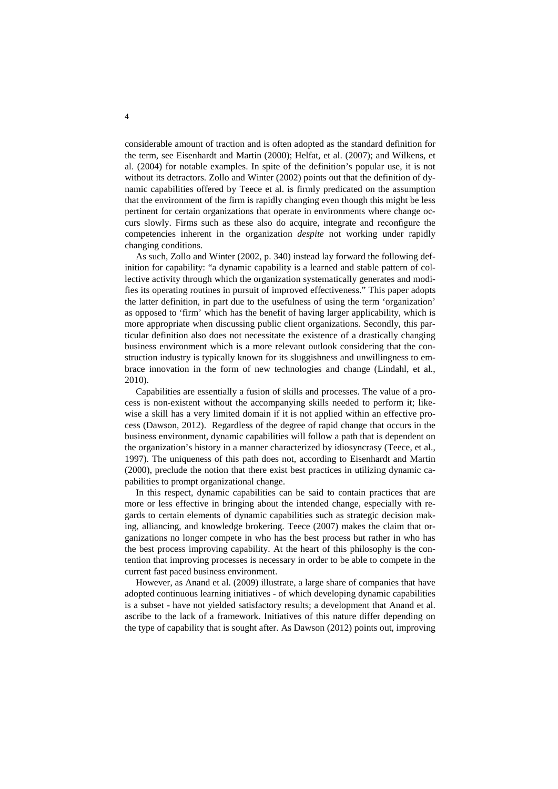considerable amount of traction and is often adopted as the standard definition for the term, see Eisenhardt and Martin (2000); Helfat, et al. (2007); and Wilkens, et al. (2004) for notable examples. In spite of the definition's popular use, it is not without its detractors. Zollo and Winter (2002) points out that the definition of dynamic capabilities offered by Teece et al. is firmly predicated on the assumption that the environment of the firm is rapidly changing even though this might be less pertinent for certain organizations that operate in environments where change occurs slowly. Firms such as these also do acquire, integrate and reconfigure the competencies inherent in the organization *despite* not working under rapidly changing conditions.

As such, Zollo and Winter (2002, p. 340) instead lay forward the following definition for capability: "a dynamic capability is a learned and stable pattern of collective activity through which the organization systematically generates and modifies its operating routines in pursuit of improved effectiveness." This paper adopts the latter definition, in part due to the usefulness of using the term 'organization' as opposed to 'firm' which has the benefit of having larger applicability, which is more appropriate when discussing public client organizations. Secondly, this particular definition also does not necessitate the existence of a drastically changing business environment which is a more relevant outlook considering that the construction industry is typically known for its sluggishness and unwillingness to embrace innovation in the form of new technologies and change (Lindahl, et al., 2010).

Capabilities are essentially a fusion of skills and processes. The value of a process is non-existent without the accompanying skills needed to perform it; likewise a skill has a very limited domain if it is not applied within an effective process (Dawson, 2012). Regardless of the degree of rapid change that occurs in the business environment, dynamic capabilities will follow a path that is dependent on the organization's history in a manner characterized by idiosyncrasy (Teece, et al., 1997). The uniqueness of this path does not, according to Eisenhardt and Martin (2000), preclude the notion that there exist best practices in utilizing dynamic capabilities to prompt organizational change.

In this respect, dynamic capabilities can be said to contain practices that are more or less effective in bringing about the intended change, especially with regards to certain elements of dynamic capabilities such as strategic decision making, alliancing, and knowledge brokering. Teece (2007) makes the claim that organizations no longer compete in who has the best process but rather in who has the best process improving capability. At the heart of this philosophy is the contention that improving processes is necessary in order to be able to compete in the current fast paced business environment.

However, as Anand et al. (2009) illustrate, a large share of companies that have adopted continuous learning initiatives - of which developing dynamic capabilities is a subset - have not yielded satisfactory results; a development that Anand et al. ascribe to the lack of a framework. Initiatives of this nature differ depending on the type of capability that is sought after. As Dawson (2012) points out, improving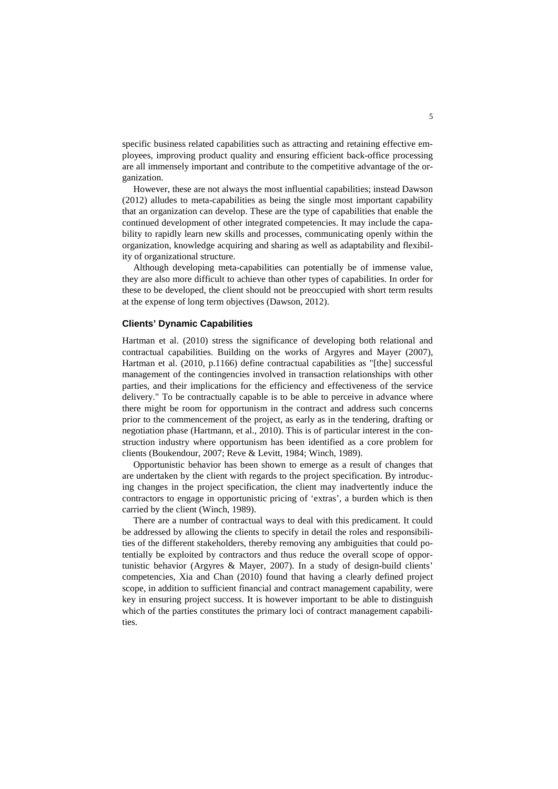specific business related capabilities such as attracting and retaining effective employees, improving product quality and ensuring efficient back-office processing are all immensely important and contribute to the competitive advantage of the organization.

However, these are not always the most influential capabilities; instead Dawson (2012) alludes to meta-capabilities as being the single most important capability that an organization can develop. These are the type of capabilities that enable the continued development of other integrated competencies. It may include the capability to rapidly learn new skills and processes, communicating openly within the organization, knowledge acquiring and sharing as well as adaptability and flexibility of organizational structure.

Although developing meta-capabilities can potentially be of immense value, they are also more difficult to achieve than other types of capabilities. In order for these to be developed, the client should not be preoccupied with short term results at the expense of long term objectives (Dawson, 2012).

#### **Clients' Dynamic Capabilities**

Hartman et al. (2010) stress the significance of developing both relational and contractual capabilities. Building on the works of Argyres and Mayer (2007), Hartman et al. (2010, p.1166) define contractual capabilities as "[the] successful management of the contingencies involved in transaction relationships with other parties, and their implications for the efficiency and effectiveness of the service delivery." To be contractually capable is to be able to perceive in advance where there might be room for opportunism in the contract and address such concerns prior to the commencement of the project, as early as in the tendering, drafting or negotiation phase (Hartmann, et al., 2010). This is of particular interest in the construction industry where opportunism has been identified as a core problem for clients (Boukendour, 2007; Reve & Levitt, 1984; Winch, 1989).

Opportunistic behavior has been shown to emerge as a result of changes that are undertaken by the client with regards to the project specification. By introducing changes in the project specification, the client may inadvertently induce the contractors to engage in opportunistic pricing of 'extras', a burden which is then carried by the client (Winch, 1989).

There are a number of contractual ways to deal with this predicament. It could be addressed by allowing the clients to specify in detail the roles and responsibilities of the different stakeholders, thereby removing any ambiguities that could potentially be exploited by contractors and thus reduce the overall scope of opportunistic behavior (Argyres & Mayer, 2007). In a study of design-build clients' competencies, Xia and Chan (2010) found that having a clearly defined project scope, in addition to sufficient financial and contract management capability, were key in ensuring project success. It is however important to be able to distinguish which of the parties constitutes the primary loci of contract management capabilities.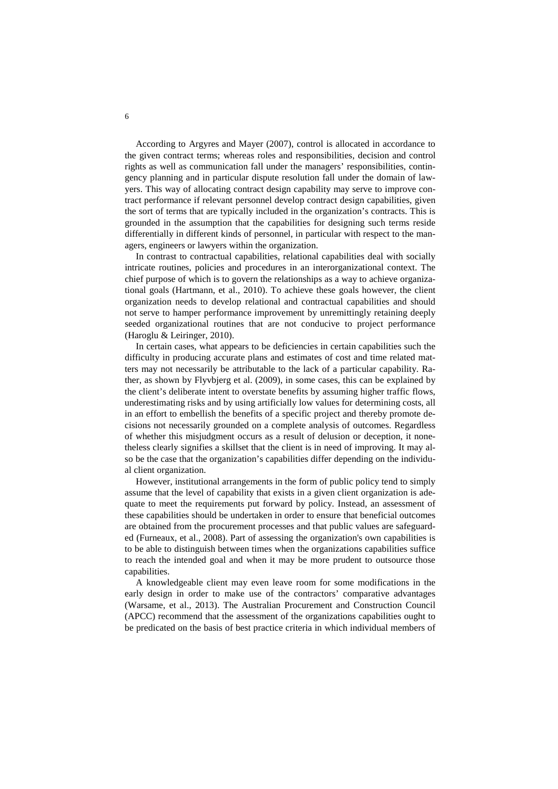According to Argyres and Mayer (2007), control is allocated in accordance to the given contract terms; whereas roles and responsibilities, decision and control rights as well as communication fall under the managers' responsibilities, contingency planning and in particular dispute resolution fall under the domain of lawyers. This way of allocating contract design capability may serve to improve contract performance if relevant personnel develop contract design capabilities, given the sort of terms that are typically included in the organization's contracts. This is grounded in the assumption that the capabilities for designing such terms reside differentially in different kinds of personnel, in particular with respect to the managers, engineers or lawyers within the organization.

In contrast to contractual capabilities, relational capabilities deal with socially intricate routines, policies and procedures in an interorganizational context. The chief purpose of which is to govern the relationships as a way to achieve organizational goals (Hartmann, et al., 2010). To achieve these goals however, the client organization needs to develop relational and contractual capabilities and should not serve to hamper performance improvement by unremittingly retaining deeply seeded organizational routines that are not conducive to project performance (Haroglu & Leiringer, 2010).

In certain cases, what appears to be deficiencies in certain capabilities such the difficulty in producing accurate plans and estimates of cost and time related matters may not necessarily be attributable to the lack of a particular capability. Rather, as shown by Flyvbjerg et al. (2009), in some cases, this can be explained by the client's deliberate intent to overstate benefits by assuming higher traffic flows, underestimating risks and by using artificially low values for determining costs, all in an effort to embellish the benefits of a specific project and thereby promote decisions not necessarily grounded on a complete analysis of outcomes. Regardless of whether this misjudgment occurs as a result of delusion or deception, it nonetheless clearly signifies a skillset that the client is in need of improving. It may also be the case that the organization's capabilities differ depending on the individual client organization.

However, institutional arrangements in the form of public policy tend to simply assume that the level of capability that exists in a given client organization is adequate to meet the requirements put forward by policy. Instead, an assessment of these capabilities should be undertaken in order to ensure that beneficial outcomes are obtained from the procurement processes and that public values are safeguarded (Furneaux, et al., 2008). Part of assessing the organization's own capabilities is to be able to distinguish between times when the organizations capabilities suffice to reach the intended goal and when it may be more prudent to outsource those capabilities.

A knowledgeable client may even leave room for some modifications in the early design in order to make use of the contractors' comparative advantages (Warsame, et al., 2013). The Australian Procurement and Construction Council (APCC) recommend that the assessment of the organizations capabilities ought to be predicated on the basis of best practice criteria in which individual members of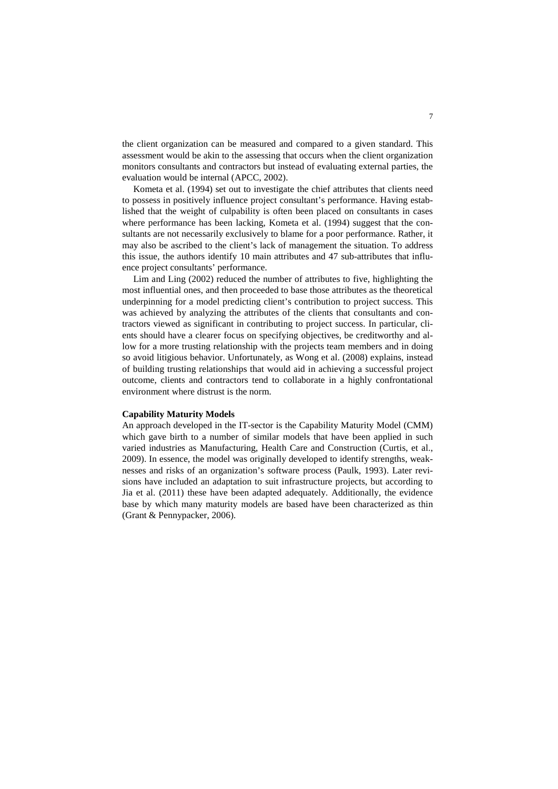the client organization can be measured and compared to a given standard. This assessment would be akin to the assessing that occurs when the client organization monitors consultants and contractors but instead of evaluating external parties, the evaluation would be internal (APCC, 2002).

Kometa et al. (1994) set out to investigate the chief attributes that clients need to possess in positively influence project consultant's performance. Having established that the weight of culpability is often been placed on consultants in cases where performance has been lacking, Kometa et al. (1994) suggest that the consultants are not necessarily exclusively to blame for a poor performance. Rather, it may also be ascribed to the client's lack of management the situation. To address this issue, the authors identify 10 main attributes and 47 sub-attributes that influence project consultants' performance.

Lim and Ling (2002) reduced the number of attributes to five, highlighting the most influential ones, and then proceeded to base those attributes as the theoretical underpinning for a model predicting client's contribution to project success. This was achieved by analyzing the attributes of the clients that consultants and contractors viewed as significant in contributing to project success. In particular, clients should have a clearer focus on specifying objectives, be creditworthy and allow for a more trusting relationship with the projects team members and in doing so avoid litigious behavior. Unfortunately, as Wong et al. (2008) explains, instead of building trusting relationships that would aid in achieving a successful project outcome, clients and contractors tend to collaborate in a highly confrontational environment where distrust is the norm.

#### **Capability Maturity Models**

An approach developed in the IT-sector is the Capability Maturity Model (CMM) which gave birth to a number of similar models that have been applied in such varied industries as Manufacturing, Health Care and Construction (Curtis, et al., 2009). In essence, the model was originally developed to identify strengths, weaknesses and risks of an organization's software process (Paulk, 1993). Later revisions have included an adaptation to suit infrastructure projects, but according to Jia et al. (2011) these have been adapted adequately. Additionally, the evidence base by which many maturity models are based have been characterized as thin (Grant & Pennypacker, 2006).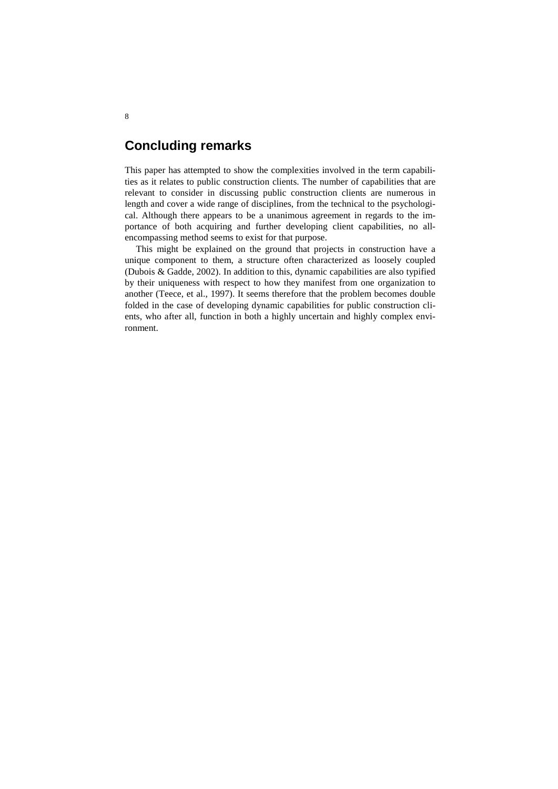# **Concluding remarks**

This paper has attempted to show the complexities involved in the term capabilities as it relates to public construction clients. The number of capabilities that are relevant to consider in discussing public construction clients are numerous in length and cover a wide range of disciplines, from the technical to the psychological. Although there appears to be a unanimous agreement in regards to the importance of both acquiring and further developing client capabilities, no allencompassing method seems to exist for that purpose.

This might be explained on the ground that projects in construction have a unique component to them, a structure often characterized as loosely coupled (Dubois & Gadde, 2002). In addition to this, dynamic capabilities are also typified by their uniqueness with respect to how they manifest from one organization to another (Teece, et al., 1997). It seems therefore that the problem becomes double folded in the case of developing dynamic capabilities for public construction clients, who after all, function in both a highly uncertain and highly complex environment.

8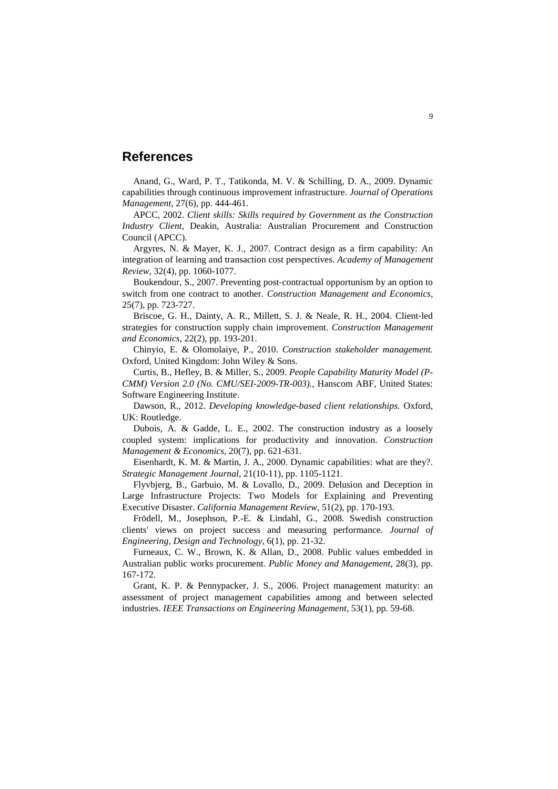### **References**

Anand, G., Ward, P. T., Tatikonda, M. V. & Schilling, D. A., 2009. Dynamic capabilities through continuous improvement infrastructure. *Journal of Operations Management,* 27(6), pp. 444-461.

APCC, 2002. *Client skills: Skills required by Government as the Construction Industry Client,* Deakin, Australia: Australian Procurement and Construction Council (APCC).

Argyres, N. & Mayer, K. J., 2007. Contract design as a firm capability: An integration of learning and transaction cost perspectives. *Academy of Management Review,* 32(4), pp. 1060-1077.

Boukendour, S., 2007. Preventing post‐contractual opportunism by an option to switch from one contract to another. *Construction Management and Economics,*  25(7), pp. 723-727.

Briscoe, G. H., Dainty, A. R., Millett, S. J. & Neale, R. H., 2004. Client‐led strategies for construction supply chain improvement. *Construction Management and Economics,* 22(2), pp. 193-201.

Chinyio, E. & Olomolaiye, P., 2010. *Construction stakeholder management.*  Oxford, United Kingdom: John Wiley & Sons.

Curtis, B., Hefley, B. & Miller, S., 2009. *People Capability Maturity Model (P-CMM) Version 2.0 (No. CMU/SEI-2009-TR-003).,* Hanscom ABF, United States: Software Engineering Institute.

Dawson, R., 2012. *Developing knowledge-based client relationships.* Oxford, UK: Routledge.

Dubois, A. & Gadde, L. E., 2002. The construction industry as a loosely coupled system: implications for productivity and innovation. *Construction Management & Economics,* 20(7), pp. 621-631.

Eisenhardt, K. M. & Martin, J. A., 2000. Dynamic capabilities: what are they?. *Strategic Management Journal,* 21(10-11), pp. 1105-1121.

Flyvbjerg, B., Garbuio, M. & Lovallo, D., 2009. Delusion and Deception in Large Infrastructure Projects: Two Models for Explaining and Preventing Executive Disaster. *California Management Review,* 51(2), pp. 170-193.

Frödell, M., Josephson, P.-E. & Lindahl, G., 2008. Swedish construction clients' views on project success and measuring performance. *Journal of Engineering, Design and Technology,* 6(1), pp. 21-32.

Furneaux, C. W., Brown, K. & Allan, D., 2008. Public values embedded in Australian public works procurement. *Public Money and Management,* 28(3), pp. 167-172.

Grant, K. P. & Pennypacker, J. S., 2006. Project management maturity: an assessment of project management capabilities among and between selected industries. *IEEE Transactions on Engineering Management,* 53(1), pp. 59-68.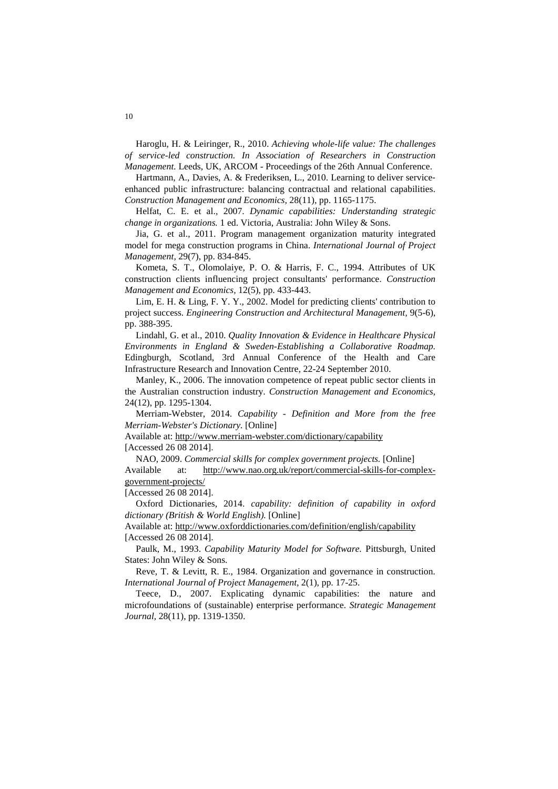Haroglu, H. & Leiringer, R., 2010. *Achieving whole-life value: The challenges of service-led construction. In Association of Researchers in Construction Management.* Leeds, UK, ARCOM - Proceedings of the 26th Annual Conference.

Hartmann, A., Davies, A. & Frederiksen, L., 2010. Learning to deliver serviceenhanced public infrastructure: balancing contractual and relational capabilities. *Construction Management and Economics,* 28(11), pp. 1165-1175.

Helfat, C. E. et al., 2007. *Dynamic capabilities: Understanding strategic change in organizations.* 1 ed. Victoria, Australia: John Wiley & Sons.

Jia, G. et al., 2011. Program management organization maturity integrated model for mega construction programs in China. *International Journal of Project Management,* 29(7), pp. 834-845.

Kometa, S. T., Olomolaiye, P. O. & Harris, F. C., 1994. Attributes of UK construction clients influencing project consultants' performance. *Construction Management and Economics,* 12(5), pp. 433-443.

Lim, E. H. & Ling, F. Y. Y., 2002. Model for predicting clients' contribution to project success. *Engineering Construction and Architectural Management,* 9(5-6), pp. 388-395.

Lindahl, G. et al., 2010. *Quality Innovation & Evidence in Healthcare Physical Environments in England & Sweden-Establishing a Collaborative Roadmap.*  Edingburgh, Scotland, 3rd Annual Conference of the Health and Care Infrastructure Research and Innovation Centre, 22-24 September 2010.

Manley, K., 2006. The innovation competence of repeat public sector clients in the Australian construction industry. *Construction Management and Economics,*  24(12), pp. 1295-1304.

Merriam-Webster, 2014. *Capability - Definition and More from the free Merriam-Webster's Dictionary.* [Online]

Available at: http://www.merriam-webster.com/dictionary/capability [Accessed 26 08 2014].

NAO, 2009. *Commercial skills for complex government projects.* [Online]

Available at: http://www.nao.org.uk/report/commercial-skills-for-complexgovernment-projects/

[Accessed 26 08 2014].

Oxford Dictionaries, 2014. *capability: definition of capability in oxford dictionary (British & World English).* [Online]

Available at: http://www.oxforddictionaries.com/definition/english/capability [Accessed 26 08 2014].

Paulk, M., 1993. *Capability Maturity Model for Software.* Pittsburgh, United States: John Wiley & Sons.

Reve, T. & Levitt, R. E., 1984. Organization and governance in construction. *International Journal of Project Management,* 2(1), pp. 17-25.

Teece, D., 2007. Explicating dynamic capabilities: the nature and microfoundations of (sustainable) enterprise performance. *Strategic Management Journal,* 28(11), pp. 1319-1350.